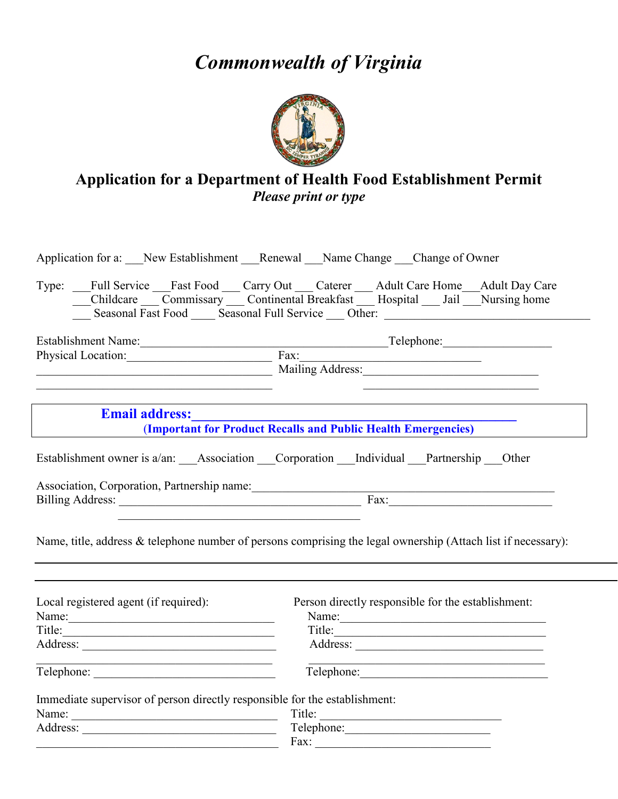## *Commonwealth of Virginia*



## **Application for a Department of Health Food Establishment Permit** *Please print or type*

| Application for a: New Establishment Renewal Name Change Change of Owner                                              |                                                                                                                                                                                                                                      |  |  |  |  |
|-----------------------------------------------------------------------------------------------------------------------|--------------------------------------------------------------------------------------------------------------------------------------------------------------------------------------------------------------------------------------|--|--|--|--|
|                                                                                                                       | Type: Full Service Fast Food Carry Out Caterer Adult Care Home Adult Day Care<br>Childcare Commissary Continental Breakfast Hospital Jail Nursing home                                                                               |  |  |  |  |
|                                                                                                                       | Establishment Name:<br>Physical Location: Fax: Telephone: Telephone:                                                                                                                                                                 |  |  |  |  |
|                                                                                                                       |                                                                                                                                                                                                                                      |  |  |  |  |
| <u> 1989 - Johann Stein, marwolaethau a bhann an t-Amhain Aonaichte an t-Amhain Aonaichte an t-Amhain Aonaichte a</u> |                                                                                                                                                                                                                                      |  |  |  |  |
| <b>Email address:</b>                                                                                                 |                                                                                                                                                                                                                                      |  |  |  |  |
|                                                                                                                       | (Important for Product Recalls and Public Health Emergencies)                                                                                                                                                                        |  |  |  |  |
|                                                                                                                       | Establishment owner is a/an: Association Corporation Individual Partnership Other                                                                                                                                                    |  |  |  |  |
|                                                                                                                       |                                                                                                                                                                                                                                      |  |  |  |  |
|                                                                                                                       | Billing Address: <u>and a series of the series of the series of the series of the series of the series of the series of the series of the series of the series of the series of the series of the series of the series of the se</u> |  |  |  |  |
|                                                                                                                       | Name, title, address & telephone number of persons comprising the legal ownership (Attach list if necessary):                                                                                                                        |  |  |  |  |
| Local registered agent (if required):                                                                                 | Person directly responsible for the establishment:                                                                                                                                                                                   |  |  |  |  |
| Name:                                                                                                                 |                                                                                                                                                                                                                                      |  |  |  |  |
|                                                                                                                       |                                                                                                                                                                                                                                      |  |  |  |  |
| <u> 1989 - Johann Barbara, martxa alemaniar amerikan basar da da a shekara a shekara a shekara a shekara a shekar</u> | the control of the control of the control of the control of the control of the control of                                                                                                                                            |  |  |  |  |
|                                                                                                                       | Telephone:                                                                                                                                                                                                                           |  |  |  |  |
| Immediate supervisor of person directly responsible for the establishment:                                            |                                                                                                                                                                                                                                      |  |  |  |  |
|                                                                                                                       | Title:                                                                                                                                                                                                                               |  |  |  |  |
|                                                                                                                       |                                                                                                                                                                                                                                      |  |  |  |  |
| <u> 1989 - Johann Barbara, margaret eta idazlea (h. 1989).</u>                                                        | $\text{Fax:}$                                                                                                                                                                                                                        |  |  |  |  |